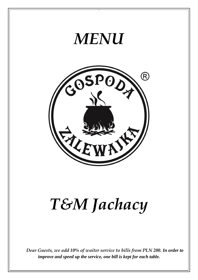

*improve and speed up the service, one bill is kept for each table.*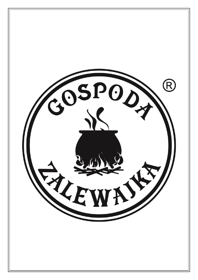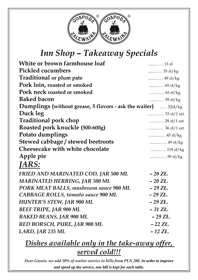

# *Inn Shop – Takeaway Specials*

| White or brown farmhouse loaf                          | 13 zł.                                                               |
|--------------------------------------------------------|----------------------------------------------------------------------|
| <b>Pickled cucumbers</b>                               | $35 \frac{\text{z} \cdot \text{kg}}{25 \frac{\text{kg}}{\text{kg}}}$ |
| Traditional or plum pate                               |                                                                      |
| Pork loin, roasted or smoked                           |                                                                      |
| Pork neck roasted or smoked                            |                                                                      |
| <b>Baked bacon</b>                                     | 59 zł/kg                                                             |
| Dumplings (without grease, 5 flavors - ask the waiter) | 52z1/kg                                                              |
| Duck leg                                               | $33 \frac{\text{z}l}{1 \text{ szt.}}$                                |
| <b>Traditional pork chop</b>                           | 29 zł/1 szt.                                                         |
| Roasted pork knuckle (500-600g)                        |                                                                      |
| Potato dumplings                                       |                                                                      |
| Stewed cabbage / stewed beetroots                      |                                                                      |
| <b>Cheesecake with white chocolate</b>                 |                                                                      |
| Apple pie                                              | 59 zł/kg                                                             |
| <i>JARS:</i>                                           |                                                                      |
| FRIED AND MARINATED COD, JAR 500 ML                    | $-20$ ZŁ.                                                            |
| <b>MARINATED HERRING, JAR 500 ML</b>                   | $-20$ ZŁ.                                                            |
| PORK MEAT BALLS, mushroom sauce 900 ML                 | $-29$ ZŁ.                                                            |
| <b>CABBAGE ROLLS, tomato sauce 900 ML</b>              | $-29$ ZŁ.                                                            |
| <b>HUNTER'S STEW, JAR 900 ML</b>                       | $-29$ ZŁ.                                                            |
| <b>BEEF TRIPE, JAR 900 ML</b>                          | $-31$ ZŁ.                                                            |
| <b>BAKED BEANS, JAR 900 ML</b>                         | $-29$ ZŁ.                                                            |
| <b>RED BORSCH, PURE, JAR 900 ML</b>                    | $-22$ ZŁ.                                                            |
| LARD, JAR 235 ML                                       | $-12$ ZŁ.                                                            |

## *Dishes available only in the take-away offer, served cold!!!*

*Dear Guests, we add 10% of waiter service to bills from PLN 200. In order to improve and speed up the service, one bill is kept for each table.*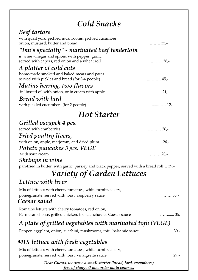| <b>Cold Snacks</b>                                                                           |                                     |
|----------------------------------------------------------------------------------------------|-------------------------------------|
| <b>Beef tartare</b>                                                                          |                                     |
| with quail yolk, pickled mushrooms, pickled cucumber,                                        |                                     |
| onion, mustard, butter and bread                                                             | $35-$                               |
| "Inn's specialty" - marinated beef tenderloin                                                |                                     |
| in wine vinegar and spices, with pepper, garlic,                                             |                                     |
| served with capers, red onion and a wheat roll                                               | $38,-$                              |
| A platter of cold cuts                                                                       |                                     |
| home-made smoked and baked meats and pates<br>served with pickles and bread (for 3-4 people) | $45.$                               |
| Matias herring, two flavors                                                                  |                                     |
| in linseed oil with onion, or in cream with apple                                            | 21,-                                |
| <b>Bread with lard</b>                                                                       |                                     |
| with pickled cucumbers (for 2 people)                                                        | $12,-$                              |
|                                                                                              |                                     |
| <b>Hot Starter</b>                                                                           |                                     |
| Grilled oscypek 4 pcs.                                                                       |                                     |
| served with cranberries                                                                      | 26,-                                |
| Fried poultry livers,                                                                        |                                     |
| with onion, apple, marjoram, and dried plum                                                  | 26,-                                |
| Potato pancakes 3 pcs. VEGE                                                                  |                                     |
| with sour cream                                                                              | 20,-                                |
| Shrimps in wine                                                                              |                                     |
| pan-fried in butter, with garlic, parsley and black pepper, served with a bread roll 39,-    |                                     |
| <b>Variety of Garden Lettuces</b>                                                            |                                     |
| Lettuce with liver                                                                           |                                     |
| Mix of lettuces with cherry tomatoes, white turnip, celery,                                  |                                     |
| pomegranate, served with toast, raspberry sauce                                              | 35,-                                |
| Caesar salad                                                                                 |                                     |
| Romaine lettuce with cherry tomatoes, red onion,                                             |                                     |
| Parmesan cheese, grilled chicken, toast, anchovies Caesar sauce                              | $\ldots \ldots \ldots \ldots 35.$ - |
| A plate of grilled vegetables with marinated tofu (VEGE)                                     |                                     |
| Pepper, eggplant, onion, zucchini, mushrooms, tofu, balsamic sauce                           | 30,-                                |
| MIX lettuce with fresh vegetables                                                            |                                     |
| Mix of lettuces with cherry tomatoes, white turnip, celery,                                  |                                     |
| pomegranate, served with toast, vinaigrette sauce                                            | 29,-                                |
| course a quall starter (lessed land quarrichano)                                             |                                     |

*Dear Guests, we serve a small starter (bread, lard, cucumbers) free of charge if you order main courses.*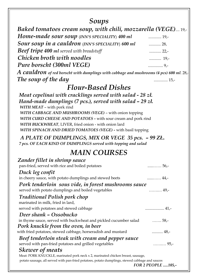### *Soups*

 *Baked tomatoes cream soup, with chili, mozzarella (VEGE)*.... 19,-  *Home-made sour soup* (*INN'S SPECIALITY*) *400 ml* ............. 19,-  *Sour soup in a cauldron* (*INN'S SPECIALITY*) *600 ml* ............ 28,  *Beef tripe 400 ml served with breadstuff* ............ 22,-  *Chicken broth with noodles* ............ 19,-  *Pure borscht (300ml VEGE)* ............... 9,- *A cauldron of red borscht with dumplings with cabbage and mushrooms (4 pcs) 600 ml*. 28,- *The soup of the day If***<sub>***z***</sub>** *If***<sub>***z***</sub> <b>***If***<sub>***z***</sub> <b>***If***<sub>z</sub>** *If***<sub>z</sub>** *If***<sub>z</sub>** *If***<sub>z</sub>** *Flour-Based Dishes*

 *Meat cepelinai with cracklings served with salad - 28 zł. Hand-made dumplings (7 pcs.), served with salad – 29 zł. WITH MEAT* – with pork rind  *WITH CABBAGE AND MUSHROOMS (VEGE)* – with onion topping  *WITH CURD CHEESE AND POTATOES -* with sour cream and pork rind  *WITH BUCKWHEAT*, LIVER, fried onion - with onion lard  *WITH SPINACH AND DRIED TOMATOES (VEGE) -* with basil topping

 *A PLATE OF DUMPLINGS, MIX OR VEGE 35 pcs. – 99 ZŁ. 7 pcs. OF EACH KIND OF DUMPLINGS served with topping and salad*

## *MAIN COURSES*

| Zander fillet in shrimp sauce                                                                   |                    |
|-------------------------------------------------------------------------------------------------|--------------------|
| pan-fried, served with rice and boiled potatoes                                                 | 56,-               |
| Duck leg confit                                                                                 |                    |
| in cheery sauce, with potato dumplings and stewed beets                                         | 44,-               |
| Pork tenderloin sous vide, in forest mushrooms sauce                                            |                    |
| served with potato dumplings and boiled vegetables                                              | . 49,-             |
| <b>Traditional Polish pork chop</b>                                                             |                    |
| marinated in milk, fried in lard,                                                               |                    |
| served with potatoes and stewed cabbage                                                         |                    |
| Deer shank - Ossobucko                                                                          |                    |
| in thyme sauce, served with buckwheat and pickled cucumber salad                                | . 58,-             |
| Pork knuckle from the oven, in beer                                                             |                    |
| with fried potatoes, stewed cabbage, horseradish and mustard                                    |                    |
| Beef tenderloin steak with cream and pepper sauce                                               |                    |
| served with pan-fried potatoes and grilled vegetables                                           | . 95,-             |
| <b>Skewer of meats</b>                                                                          |                    |
| Meat: PORK KNUCKLE, marinated pork neck x 2, marinated chicken breast, sausage,                 |                    |
| potato sausage, all served with pan-fried potatoes, potato dumplings, stewed cabbage and sauces |                    |
|                                                                                                 | FOR 2 PEOPLE 105,- |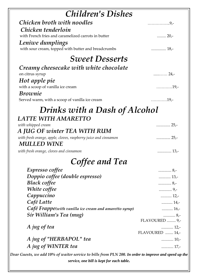| <b>Children's Dishes</b>                                       |                                                                |
|----------------------------------------------------------------|----------------------------------------------------------------|
| Chicken broth with noodles                                     | . 9, -                                                         |
| Chicken tenderloin                                             |                                                                |
| with French fries and caramelized carrots in butter            | 20.-                                                           |
| Leniwe dumplings                                               |                                                                |
| with sour cream, topped with butter and breadcrumbs            |                                                                |
| <b>Sweet Desserts</b>                                          |                                                                |
| Creamy cheesecake with white chocolate                         |                                                                |
| on citrus syrup                                                | 24,-                                                           |
| Hot apple pie                                                  |                                                                |
| with a scoop of vanilla ice cream                              | $\ldots \ldots \ldots \ldots 19.$ -                            |
| <i>Brownie</i>                                                 |                                                                |
| Served warm, with a scoop of vanilla ice cream                 | $\ldots \ldots \ldots \ldots 19.$ -                            |
| Drinks with a Dash of Alcohol                                  |                                                                |
| <b>LATTE WITH AMARETTO</b>                                     |                                                                |
| with whipped cream<br>A JUG OF winter TEA WITH RUM             | 25,-                                                           |
| with fresh orange, apple, cloves, raspberry juice and cinnamon | 25,-                                                           |
| <b>MULLED WINE</b>                                             |                                                                |
| with fresh orange, cloves and cinnamon                         |                                                                |
| Coffee and Tea                                                 |                                                                |
| Espresso coffee                                                | 8,-                                                            |
| Doppio coffee (double espresso)                                |                                                                |
| <b>Black coffee</b>                                            | 8,-                                                            |
| White coffee                                                   |                                                                |
|                                                                |                                                                |
| Cappuccino                                                     | $\ldots \ldots \ldots \ldots 12.$                              |
| Café Latte                                                     | $14.$                                                          |
| Café Frappe(with vanilla ice cream and amaretto syrup)         | $16.$ -                                                        |
| Sir William's Tea (mug)                                        |                                                                |
|                                                                |                                                                |
| A jug of tea                                                   |                                                                |
|                                                                |                                                                |
| A jug of "HERBAPOL" tea                                        | 8,-<br>FLAVOURED  9,-<br>$12. -$<br>FLAVOURED  14,-<br>$10.$ - |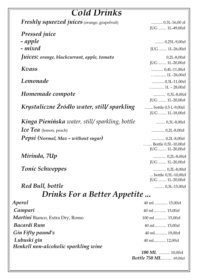# *Cold Drinks*

| <b>Freshly squeezed juices</b> (orange, grapefruit)   | $0.3L-16,00$ zł<br>JUG  1L-49,00zł     |
|-------------------------------------------------------|----------------------------------------|
| <b>Pressed</b> <i>juice</i>                           |                                        |
| - apple                                               | $\ldots$ 0,25L-9,00zł                  |
| <i>- mixed</i>                                        | JUG  1L-26,00zł                        |
| <i>Juices: orange, blackcurrant, apple, tomato</i>    | $0,2L-8,00z$ ł<br>JUG  1L-20,00zł      |
| Kvass                                                 | $1L - 26,00z$                          |
| Lemonade                                              | $\ldots$ 1L - 28,00zł                  |
| Homemade compote                                      | JUG  1L-20,00zł                        |
| Krystaliczne Źródło water, still/ sparkling           | bottle 0,5 L-9,00zł<br>JUG  1L-18,00zł |
| <b>Kinga Pienińska</b> water, still/sparkling, bottle | $\ldots$ 0,3L-8,00zł                   |
| Ice Tea (lemon, peach)                                |                                        |
| <b>Pepsi</b> (Normal, Max - without sugar)            | Bottle 0,5L-10,00zł<br>JUG  1L-20,00zł |
| Mirinda, 7Up                                          | JUG  1L-20,00zł                        |
| <b>Tonic Schweppes</b>                                | bottle 0,5L-10,00zł<br>JUG  1L-20,00zł |
| Red Bull, bottle                                      | $\ldots$ 0,3L-15,00zł                  |
| Drinks For a Better Appetite                          |                                        |
| Aperol                                                | 40 ml  15,00zł                         |
| Campari                                               | 40 ml  15,00zł                         |
| <b>Martini Bianco, Extra Dry, Rosso</b>               | 100 ml  15,00zł                        |
| <b>Bacardi Rum</b>                                    | 40 ml 15,00zł                          |

*Gin Fifty paund's* 40 ml............ 19,00zł *Lubuski gin* 40 ml............ 12,00zł  *Henkell non-alcoholic sparkling wine* 

*100 ML* ........... 10,00zł  *Bottle 750 ML*............ 69,00zł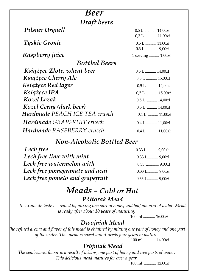## *Beer Draft beers*

| Pilsner Urquell                      | $0,5$ L  14,00zł  |
|--------------------------------------|-------------------|
|                                      | $0,3$ L  11,00zł  |
| <b>Tyskie Gronie</b>                 | $0,5$ L  11,00zł  |
|                                      | $0,3$ L $9,00z$   |
| Raspberry juice                      | 1 serving  1,00zł |
| <b>Bottled Beers</b>                 |                   |
| Książęce Złote, wheat beer           | $0,5$ L  14,00zł  |
| Książęce Cherry Ale                  | $0,5$ L  15,00zł  |
| Książęce Red lager                   | $0,5$ L  14,00zł  |
| <i>Książęce IPA</i>                  | $0,5$ L  15,00zł  |
| Kozel Lezak                          | $0,5$ L  14,00zł  |
| Kozel Cerny (dark beer)              | $0.5 L$ 14,00zł   |
| <b>Hardmade PEACH ICE TEA crusch</b> | $0,4$ L  11,00zł  |
| <b>Hardmade GRAPFRUIT crusch</b>     | $0.4 L$ 11,00zł   |
| <b>Hardmade RASPBERRY crusch</b>     | $0.4 L$ 11,00zł   |

#### *Non-Alcoholic Bottled Beer*

| Lech free                       | $0.33$ L $9,00z$   |
|---------------------------------|--------------------|
| Lech free lime with mint        | 0.33 L 9,00zł      |
| Lech free watermelon with       | 0.33 L 9,00zł      |
| Lech free pomegranate and acai  | 0.33 L 9,00zł      |
| Lech free pomelo and grapefruit | $0.33$ L $9,00z$ ł |

#### *Meads - Cold or Hot Półtorak Mead*

*Its exquisite taste is created by mixing one part of honey and half amount of water. Mead is ready after about 10 years of maturing.*

100 ml ............ 16,00zł

#### *Dwójniak Mead*

*The refined aroma and flavor of this mead is obtained by mixing one part of honey and one part of the water. This mead is sweet and it needs four years to mature.*

100 ml ............ 14,00zł

#### *Trójniak Mead*

*The semi-sweet flavor is a result of mixing one part of honey and two parts of water. This delicious mead matures for over a year.*

100 ml ............ 12,00zł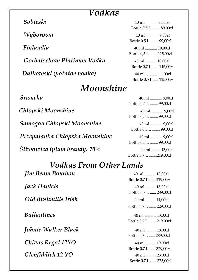## *Vodkas*

*Gorbatschow Platinum Vodka* 40 ml ........... 10,00zł *Dalkowski (potatoe vodka)* 40 ml ............ 11,00zł

# *Moonshine*

**Samogon Chłopski Moonshine** 40 ml ............ 9,00zł

*Przepalanka Chłopska Moonshine* 40 ml ............ 9,00zł

*Śliwowica (plum brandy) 70%* 40 ml ......... 13,00zł

# *Vodkas From Other Lands*

| <b>Jim Beam Bourbon</b> | $40 \text{ ml}$ 13,00zł<br>Bottle 0,7 L  219,00zł   |
|-------------------------|-----------------------------------------------------|
| <b>Jack Daniels</b>     | $40$ ml $18,00z$<br>Bottle 0,7 L  289,00zł          |
| Old Bushmills Irish     | $40 \text{ ml}$ $14,00z1$<br>Bottle 0,7 L  229,00zł |
| <b>Ballantines</b>      | $40 \text{ ml}$ 13,00zł<br>Bottle 0,7 L  219,00zł   |
| Johnie Walker Black     | $40$ ml $18,00z1$<br>Bottle 0,7 L  289,00zł         |
| Chivas Regal 12YO       | 40 ml  19,00zł<br>Bottle 0,7 L  329,00zł            |
| Glenfiddich 12 YO       | $40 \text{ ml}$ 23,00zł<br>Bottle 0,7 L  375,00zł   |

*Sobieski* 40 ml ............ 8,00 zł Bottle 0,5 L ........ 89,00zł *Wyborowa* 40 ml ............ 9,00zł Bottle 0,5 L ........ 99,00zł *Finlandia* 40 ml ............ 10,00zł Bottle 0,5 L ....... 115,00zł Bottle 0,7 L ...... 145,00zł Bottle 0,5 L ..... 125,00zł

*Siwucha* 40 ml ............ 9,00zł Bottle 0,5 L ........ 99,00zł *Chłopski Moonshine* 40 ml ............ 9,00zł Bottle 0,5 L ........ 99,00zł Bottle 0,5 L ........ 99,00zł Bottle 0,5 L ........ 99,00zł

Bottle 0,7 L ........219,00zł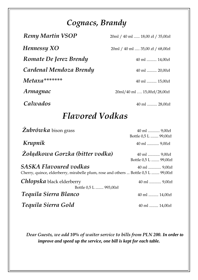## *Cognacs, Brandy*

*Romate De Jerez Brendy* 40 ml .......... 14,00zł

**Cardenal Mendoza Brendy** 40 ml .......... 20,00zł

*Metaxa\*\*\*\*\*\*\** 40 ml .......... 15,00zł

## *Flavored Vodkas*

| Zubrówka bison grass                                                                                         | 40 ml  9,00zł                                     |  |
|--------------------------------------------------------------------------------------------------------------|---------------------------------------------------|--|
|                                                                                                              | Bottle 0,5 L  99,00zł                             |  |
| Krupnik                                                                                                      | 40 ml  9,00zł                                     |  |
| Zoładkowa Gorzka (bitter vodka)                                                                              | $40 \text{ ml}$ $9,00z1$<br>Bottle 0,5 L  99,00zł |  |
| SASKA Flavoured vodkas<br>Cherry, quince, elderberry, mirabelle plum, rose and others  Bottle 0,5 L  99,00zł |                                                   |  |
| <i>Chłopska</i> black elderberry<br>Bottle 0,5 L  993,00zł                                                   | 40 ml  9,00zł                                     |  |
| Tequila Sierra Blanco                                                                                        | 40 ml  14,00zł                                    |  |
| Tequila Sierra Gold                                                                                          | 40 ml  14,00zł                                    |  |

*Dear Guests, we add 10% of waiter service to bills from PLN 200. In order to improve and speed up the service, one bill is kept for each table.*

*Hennessy XO* 20ml / 40 ml ..... 35,00 zł / 68,00 zł

*Armagnac* 20ml/40 ml ... 15,00zł/28,00zł

*Calwados* **28,00zł** 

 *Remy Martin VSOP* 20ml / 40 ml ...... 18,00 zł / 35,00z<sup>ł</sup>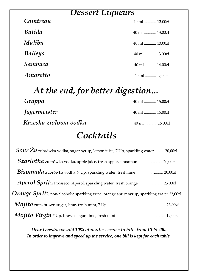#### *Dessert Liqueurs*

| Cointreau      | 40 ml  13,00zł |
|----------------|----------------|
| <b>Batida</b>  | 40 ml  13,00zł |
| Malibu         | 40 ml  13,00zł |
| <b>Baileys</b> | 40 ml  13,00zł |
| Sambuca        | 40 ml  14,00zł |
| Amaretto       |                |

# *At the end, for better digestion…*

| Grappa                | $40 \text{ ml}$ 15,00zł |
|-----------------------|-------------------------|
| <i>Jagermeister</i>   | $40 \text{ ml}$ 15,00zł |
| Krzeska ziołowa vodka | 40 ml  16,00zł          |

# *Cocktails*

| Sour Zu żubrówka vodka, sugar syrup, lemon juice, 7 Up, sparkling water 20,00zł          |                  |
|------------------------------------------------------------------------------------------|------------------|
| Szarlotka żubrówka vodka, apple juice, fresh apple, cinnamon                             | $\ldots$ 20,00zł |
| Bisoniada żubrówka vodka, 7 Up, sparkling water, fresh lime                              | $\ldots$ 20,00zł |
| Aperol Spritz Prosseco, Aperol, sparkling water, fresh orange                            |                  |
| Orange Spritz non-alcoholic sparkling wine, orange spritz syrup, sparkling water 23,00zł |                  |
| $Mojito$ rum, brown sugar, lime, fresh mint, 7 Up                                        | $23,00z1$        |
| Mojito Virgin 7 Up, brown sugar, lime, fresh mint                                        | 19,00zł          |

*Dear Guests, we add 10% of waiter service to bills from PLN 200. In order to improve and speed up the service, one bill is kept for each table.*